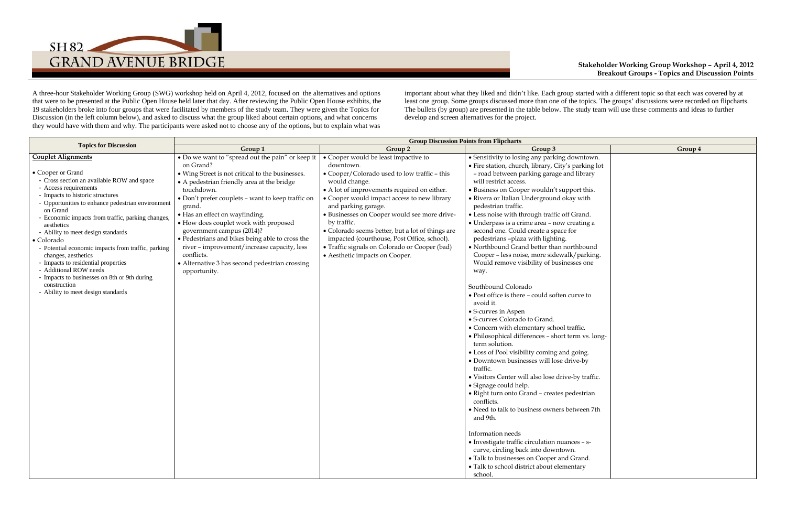## **Stakeholder Working Group Workshop – April 4, 2012 Breakout Groups - Topics and Discussion Points**

|                               | Group 4 |
|-------------------------------|---------|
| ntown.<br>rking lot<br>ibrary |         |
| t this.<br>with               |         |
| and.<br>ting a                |         |
| bound<br>parking.<br>s one    |         |
| ve to                         |         |
| îс.<br>n vs. long-            |         |
| ing.<br>$-by$                 |         |
| v traffic.                    |         |
| strian                        |         |
| reen 7th                      |         |
|                               |         |
| $S - S$ -                     |         |
| and.<br>ary                   |         |



A three-hour Stakeholder Working Group (SWG) workshop held on April 4, 2012, focused on the alternatives and options that were to be presented at the Public Open House held later that day. After reviewing the Public Open House exhibits, the 19 stakeholders broke into four groups that were facilitated by members of the study team. They were given the Topics for Discussion (in the left column below), and asked to discuss what the group liked about certain options, and what concerns they would have with them and why. The participants were asked not to choose any of the options, but to explain what was

important about what they liked and didn't like. Each group started with a different topic so that each was covered by at least one group. Some groups discussed more than one of the topics. The groups' discussions were recorded on flipcharts. The bullets (by group) are presented in the table below. The study team will use these comments and ideas to further develop and screen alternatives for the project.

|                                                                                                                                                                                                                                                                                                                                                                                                                                                                                                                                                                                                       | <b>Group Discussion Points from Flipcharts</b>                                                                                                                                                                                                                                                                                                                                                                                                                                                                                         |                                                                                                                                                                                                                                                                                                                                                                                                                                                                                              |                                                                                                                                                                                                                                                                                                                                                                                                                                                                                                                                                                                                                                                                                                                                                                                                                                                                                                                                                                                                                                                                                                                                                                                                                                                                                                                                                                                                                                     |         |  |
|-------------------------------------------------------------------------------------------------------------------------------------------------------------------------------------------------------------------------------------------------------------------------------------------------------------------------------------------------------------------------------------------------------------------------------------------------------------------------------------------------------------------------------------------------------------------------------------------------------|----------------------------------------------------------------------------------------------------------------------------------------------------------------------------------------------------------------------------------------------------------------------------------------------------------------------------------------------------------------------------------------------------------------------------------------------------------------------------------------------------------------------------------------|----------------------------------------------------------------------------------------------------------------------------------------------------------------------------------------------------------------------------------------------------------------------------------------------------------------------------------------------------------------------------------------------------------------------------------------------------------------------------------------------|-------------------------------------------------------------------------------------------------------------------------------------------------------------------------------------------------------------------------------------------------------------------------------------------------------------------------------------------------------------------------------------------------------------------------------------------------------------------------------------------------------------------------------------------------------------------------------------------------------------------------------------------------------------------------------------------------------------------------------------------------------------------------------------------------------------------------------------------------------------------------------------------------------------------------------------------------------------------------------------------------------------------------------------------------------------------------------------------------------------------------------------------------------------------------------------------------------------------------------------------------------------------------------------------------------------------------------------------------------------------------------------------------------------------------------------|---------|--|
| <b>Topics for Discussion</b>                                                                                                                                                                                                                                                                                                                                                                                                                                                                                                                                                                          | Group 1                                                                                                                                                                                                                                                                                                                                                                                                                                                                                                                                | Group 2                                                                                                                                                                                                                                                                                                                                                                                                                                                                                      | Group 3                                                                                                                                                                                                                                                                                                                                                                                                                                                                                                                                                                                                                                                                                                                                                                                                                                                                                                                                                                                                                                                                                                                                                                                                                                                                                                                                                                                                                             | Group 4 |  |
| <b>Couplet Alignments</b><br>• Cooper or Grand<br>- Cross section an available ROW and space<br>- Access requirements<br>- Impacts to historic structures<br>- Opportunities to enhance pedestrian environment<br>on Grand<br>- Economic impacts from traffic, parking changes,<br>aesthetics<br>- Ability to meet design standards<br>• Colorado<br>- Potential economic impacts from traffic, parking<br>changes, aesthetics<br>- Impacts to residential properties<br>- Additional ROW needs<br>- Impacts to businesses on 8th or 9th during<br>construction<br>- Ability to meet design standards | • Do we want to "spread out the pain" or keep it<br>on Grand?<br>• Wing Street is not critical to the businesses.<br>• A pedestrian friendly area at the bridge<br>touchdown.<br>• Don't prefer couplets - want to keep traffic on<br>grand.<br>• Has an effect on wayfinding.<br>• How does couplet work with proposed<br>government campus (2014)?<br>· Pedestrians and bikes being able to cross the<br>river - improvement/increase capacity, less<br>conflicts.<br>• Alternative 3 has second pedestrian crossing<br>opportunity. | • Cooper would be least impactive to<br>downtown.<br>• Cooper/Colorado used to low traffic - this<br>would change.<br>• A lot of improvements required on either.<br>• Cooper would impact access to new library<br>and parking garage.<br>· Businesses on Cooper would see more drive-<br>by traffic.<br>• Colorado seems better, but a lot of things are<br>impacted (courthouse, Post Office, school).<br>• Traffic signals on Colorado or Cooper (bad)<br>• Aesthetic impacts on Cooper. | • Sensitivity to losing any parking downtown.<br>· Fire station, church, library, City's parking lot<br>- road between parking garage and library<br>will restrict access.<br>• Business on Cooper wouldn't support this.<br>• Rivera or Italian Underground okay with<br>pedestrian traffic.<br>• Less noise with through traffic off Grand.<br>· Underpass is a crime area - now creating a<br>second one. Could create a space for<br>pedestrians -plaza with lighting.<br>• Northbound Grand better than northbound<br>Cooper - less noise, more sidewalk/parking.<br>Would remove visibility of businesses one<br>way.<br>Southbound Colorado<br>• Post office is there - could soften curve to<br>avoid it.<br>• S-curves in Aspen<br>• S-curves Colorado to Grand.<br>• Concern with elementary school traffic.<br>· Philosophical differences - short term vs. long-<br>term solution.<br>• Loss of Pool visibility coming and going.<br>• Downtown businesses will lose drive-by<br>traffic.<br>• Visitors Center will also lose drive-by traffic.<br>• Signage could help.<br>• Right turn onto Grand - creates pedestrian<br>conflicts.<br>• Need to talk to business owners between 7th<br>and 9th.<br>Information needs<br>• Investigate traffic circulation nuances - s-<br>curve, circling back into downtown.<br>• Talk to businesses on Cooper and Grand.<br>· Talk to school district about elementary<br>school. |         |  |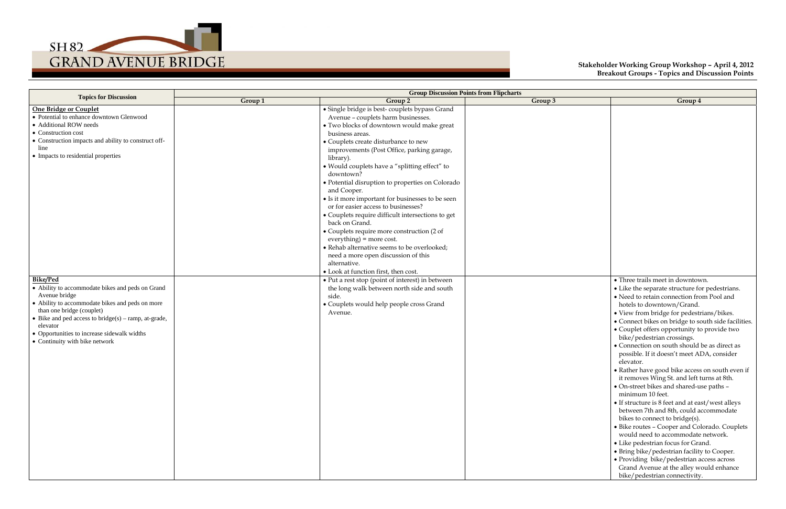## **Stakeholder Working Group Workshop – April 4, 2012 Breakout Groups - Topics and Discussion Points**



|                                                                                                                                                                                                                                                                                                                               |         | <b>Group Discussion Points from Flipcharts</b>                                                                                                                                                                                                                                                                                                                                                                                                                                                                                                                                                                                                                                                                                                                                      |         |                                                                                                                                                                                                                                                                                                                                                                                                                                                                                                                                                                                                                                                                                                                                                                                                                                                                                                                                                                                                                                                                |
|-------------------------------------------------------------------------------------------------------------------------------------------------------------------------------------------------------------------------------------------------------------------------------------------------------------------------------|---------|-------------------------------------------------------------------------------------------------------------------------------------------------------------------------------------------------------------------------------------------------------------------------------------------------------------------------------------------------------------------------------------------------------------------------------------------------------------------------------------------------------------------------------------------------------------------------------------------------------------------------------------------------------------------------------------------------------------------------------------------------------------------------------------|---------|----------------------------------------------------------------------------------------------------------------------------------------------------------------------------------------------------------------------------------------------------------------------------------------------------------------------------------------------------------------------------------------------------------------------------------------------------------------------------------------------------------------------------------------------------------------------------------------------------------------------------------------------------------------------------------------------------------------------------------------------------------------------------------------------------------------------------------------------------------------------------------------------------------------------------------------------------------------------------------------------------------------------------------------------------------------|
| <b>Topics for Discussion</b>                                                                                                                                                                                                                                                                                                  | Group 1 | Group 2                                                                                                                                                                                                                                                                                                                                                                                                                                                                                                                                                                                                                                                                                                                                                                             | Group 3 | Group 4                                                                                                                                                                                                                                                                                                                                                                                                                                                                                                                                                                                                                                                                                                                                                                                                                                                                                                                                                                                                                                                        |
| One Bridge or Couplet<br>• Potential to enhance downtown Glenwood<br>• Additional ROW needs<br>• Construction cost<br>• Construction impacts and ability to construct off-<br>line<br>• Impacts to residential properties                                                                                                     |         | · Single bridge is best-couplets bypass Grand<br>Avenue - couplets harm businesses.<br>· Two blocks of downtown would make great<br>business areas.<br>• Couplets create disturbance to new<br>improvements (Post Office, parking garage,<br>library).<br>· Would couplets have a "splitting effect" to<br>downtown?<br>• Potential disruption to properties on Colorado<br>and Cooper.<br>• Is it more important for businesses to be seen<br>or for easier access to businesses?<br>• Couplets require difficult intersections to get<br>back on Grand.<br>• Couplets require more construction (2 of<br>$everything) = more cost.$<br>• Rehab alternative seems to be overlooked;<br>need a more open discussion of this<br>alternative.<br>• Look at function first, then cost. |         |                                                                                                                                                                                                                                                                                                                                                                                                                                                                                                                                                                                                                                                                                                                                                                                                                                                                                                                                                                                                                                                                |
| <b>Bike/Ped</b><br>• Ability to accommodate bikes and peds on Grand<br>Avenue bridge<br>• Ability to accommodate bikes and peds on more<br>than one bridge (couplet)<br>• Bike and ped access to bridge( $s$ ) – ramp, at-grade,<br>elevator<br>• Opportunities to increase sidewalk widths<br>• Continuity with bike network |         | • Put a rest stop (point of interest) in between<br>the long walk between north side and south<br>side.<br>• Couplets would help people cross Grand<br>Avenue.                                                                                                                                                                                                                                                                                                                                                                                                                                                                                                                                                                                                                      |         | • Three trails meet in downtown.<br>• Like the separate structure for pedestrians.<br>• Need to retain connection from Pool and<br>hotels to downtown/Grand.<br>• View from bridge for pedestrians/bikes.<br>• Connect bikes on bridge to south side facilities.<br>• Couplet offers opportunity to provide two<br>bike/pedestrian crossings.<br>• Connection on south should be as direct as<br>possible. If it doesn't meet ADA, consider<br>elevator.<br>• Rather have good bike access on south even if<br>it removes Wing St. and left turns at 8th.<br>• On-street bikes and shared-use paths -<br>minimum 10 feet.<br>• If structure is 8 feet and at east/west alleys<br>between 7th and 8th, could accommodate<br>bikes to connect to bridge(s).<br>• Bike routes - Cooper and Colorado. Couplets<br>would need to accommodate network.<br>• Like pedestrian focus for Grand.<br>• Bring bike/pedestrian facility to Cooper.<br>• Providing bike/pedestrian access across<br>Grand Avenue at the alley would enhance<br>bike/pedestrian connectivity. |